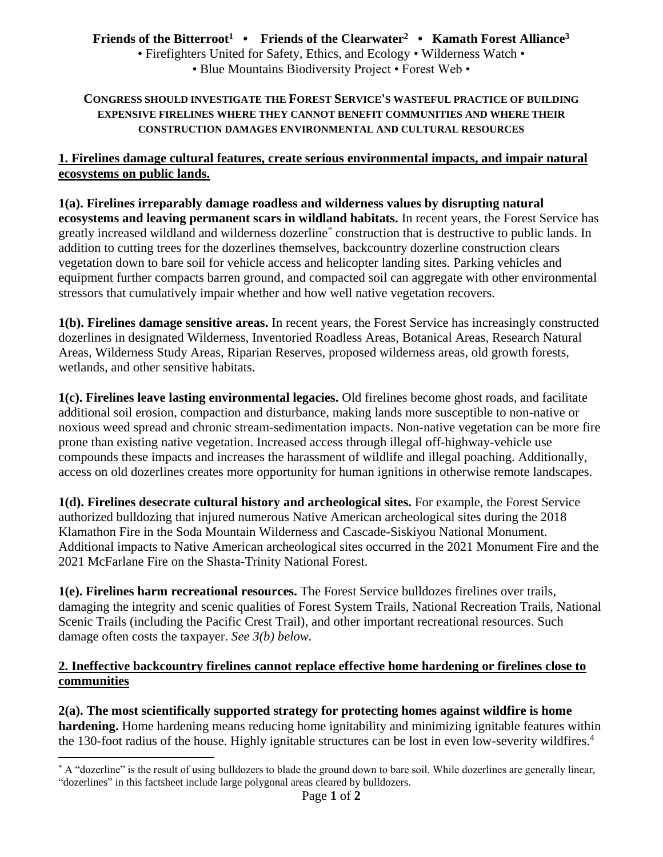# **Friends of the Bitterroot<sup>1</sup> • Friends of the Clearwater<sup>2</sup> • Kamath Forest Alliance<sup>3</sup>**

• Firefighters United for Safety, Ethics, and Ecology • Wilderness Watch • • Blue Mountains Biodiversity Project • Forest Web •

#### **CONGRESS SHOULD INVESTIGATE THE FOREST SERVICE'S WASTEFUL PRACTICE OF BUILDING EXPENSIVE FIRELINES WHERE THEY CANNOT BENEFIT COMMUNITIES AND WHERE THEIR CONSTRUCTION DAMAGES ENVIRONMENTAL AND CULTURAL RESOURCES**

### **1. Firelines damage cultural features, create serious environmental impacts, and impair natural ecosystems on public lands.**

**1(a). Firelines irreparably damage roadless and wilderness values by disrupting natural ecosystems and leaving permanent scars in wildland habitats.** In recent years, the Forest Service has greatly increased wildland and wilderness dozerline\* construction that is destructive to public lands. In addition to cutting trees for the dozerlines themselves, backcountry dozerline construction clears vegetation down to bare soil for vehicle access and helicopter landing sites. Parking vehicles and equipment further compacts barren ground, and compacted soil can aggregate with other environmental stressors that cumulatively impair whether and how well native vegetation recovers.

**1(b). Firelines damage sensitive areas.** In recent years, the Forest Service has increasingly constructed dozerlines in designated Wilderness, Inventoried Roadless Areas, Botanical Areas, Research Natural Areas, Wilderness Study Areas, Riparian Reserves, proposed wilderness areas, old growth forests, wetlands, and other sensitive habitats.

**1(c). Firelines leave lasting environmental legacies.** Old firelines become ghost roads, and facilitate additional soil erosion, compaction and disturbance, making lands more susceptible to non-native or noxious weed spread and chronic stream-sedimentation impacts. Non-native vegetation can be more fire prone than existing native vegetation. Increased access through illegal off-highway-vehicle use compounds these impacts and increases the harassment of wildlife and illegal poaching. Additionally, access on old dozerlines creates more opportunity for human ignitions in otherwise remote landscapes.

**1(d). Firelines desecrate cultural history and archeological sites.** For example, the Forest Service authorized bulldozing that injured numerous Native American archeological sites during the 2018 Klamathon Fire in the Soda Mountain Wilderness and Cascade-Siskiyou National Monument. Additional impacts to Native American archeological sites occurred in the 2021 Monument Fire and the 2021 McFarlane Fire on the Shasta-Trinity National Forest.

**1(e). Firelines harm recreational resources.** The Forest Service bulldozes firelines over trails, damaging the integrity and scenic qualities of Forest System Trails, National Recreation Trails, National Scenic Trails (including the Pacific Crest Trail), and other important recreational resources. Such damage often costs the taxpayer. *See 3(b) below.*

### **2. Ineffective backcountry firelines cannot replace effective home hardening or firelines close to communities**

**2(a). The most scientifically supported strategy for protecting homes against wildfire is home hardening.** Home hardening means reducing home ignitability and minimizing ignitable features within the 130-foot radius of the house. Highly ignitable structures can be lost in even low-severity wildfires. 4

 $\overline{a}$ \* A "dozerline" is the result of using bulldozers to blade the ground down to bare soil. While dozerlines are generally linear, "dozerlines" in this factsheet include large polygonal areas cleared by bulldozers.